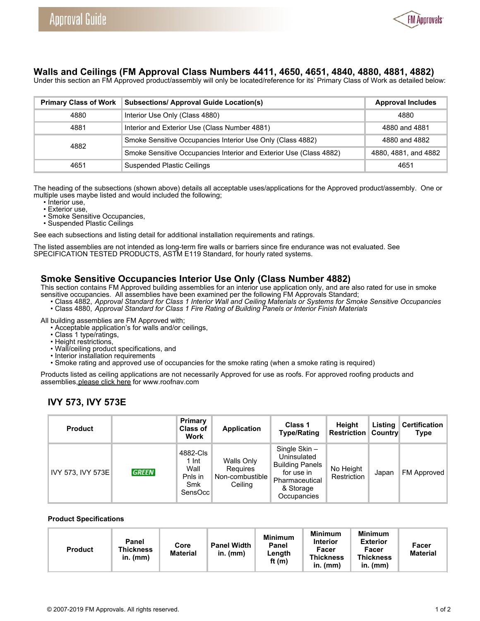

# **Walls and Ceilings (FM Approval Class Numbers 4411, 4650, 4651, 4840, 4880, 4881, 4882)**

Under this section an FM Approved product/assembly will only be located/reference for its' Primary Class of Work as detailed below:

| <b>Primary Class of Work</b> | <b>Subsections/ Approval Guide Location(s)</b>                     | <b>Approval Includes</b> |
|------------------------------|--------------------------------------------------------------------|--------------------------|
| 4880                         | Interior Use Only (Class 4880)                                     | 4880                     |
| 4881                         | Interior and Exterior Use (Class Number 4881)                      | 4880 and 4881            |
| 4882                         | Smoke Sensitive Occupancies Interior Use Only (Class 4882)         | 4880 and 4882            |
|                              | Smoke Sensitive Occupancies Interior and Exterior Use (Class 4882) | 4880, 4881, and 4882     |
| 4651                         | <b>Suspended Plastic Ceilings</b>                                  | 4651                     |

The heading of the subsections (shown above) details all acceptable uses/applications for the Approved product/assembly. One or multiple uses maybe listed and would included the following;

- Interior use,
- Exterior use,
- Smoke Sensitive Occupancies, • Suspended Plastic Ceilings

See each subsections and listing detail for additional installation requirements and ratings.

The listed assemblies are not intended as long-term fire walls or barriers since fire endurance was not evaluated. See SPECIFICATION TESTED PRODUCTS, ASTM E119 Standard, for hourly rated systems.

# **Smoke Sensitive Occupancies Interior Use Only (Class Number 4882)**

This section contains FM Approved building assemblies for an interior use application only, and are also rated for use in smoke sensitive occupancies. All assemblies have been examined per the following FM Approvals Standard;

 • Class 4882, *Approval Standard for Class 1 Interior Wall and Ceiling Materials or Systems for Smoke Sensitive Occupancies* • Class 4880, *Approval Standard for Class 1 Fire Rating of Building Panels or Interior Finish Materials*

All building assemblies are FM Approved with;

- Acceptable application's for walls and/or ceilings,
- Class 1 type/ratings,
- Height restrictions,
- Wall/ceiling product specifications, and
- Interior installation requirements
- Smoke rating and approved use of occupancies for the smoke rating (when a smoke rating is required)

Products listed as ceiling applications are not necessarily Approved for use as roofs. For approved roofing products and assemblies, [please click here](http://www.roofnav.com/) for www.roofnav.com

# **IVY 573, IVY 573E**

| <b>Product</b>    |              | Primary<br><b>Class of</b><br>Work                         | Application                                          | Class 1<br><b>Type/Rating</b>                                                                                     | Height<br><b>Restriction</b> | Listing<br><b>Country</b> | Certification<br><b>Type</b> |
|-------------------|--------------|------------------------------------------------------------|------------------------------------------------------|-------------------------------------------------------------------------------------------------------------------|------------------------------|---------------------------|------------------------------|
| IVY 573, IVY 573E | <b>GREEN</b> | 4882-Cls<br>$1 \ln t$<br>Wall<br>Pnls in<br>Smk<br>SensOcc | Walls Only<br>Requires<br>Non-combustible<br>Ceiling | Single Skin-<br>Uninsulated<br><b>Building Panels</b><br>for use in<br>Pharmaceutical<br>& Storage<br>Occupancies | No Height<br>Restriction     | Japan                     | FM Approved                  |

#### **Product Specifications**

| Panel<br><b>Panel Width</b><br>Core<br><b>Thickness</b><br><b>Product</b><br><b>Material</b><br>in. $(mm)$<br>$in.$ (mm) | <b>Minimum</b><br>Panel<br>Length<br>ft $(m)$ | <b>Minimum</b><br><b>Interior</b><br>Facer<br><b>Thickness</b><br>$in.$ ( $mm$ ) | <b>Minimum</b><br><b>Exterior</b><br>Facer<br><b>Thickness</b><br>in. (mm) | Facer<br><b>Material</b> |
|--------------------------------------------------------------------------------------------------------------------------|-----------------------------------------------|----------------------------------------------------------------------------------|----------------------------------------------------------------------------|--------------------------|
|--------------------------------------------------------------------------------------------------------------------------|-----------------------------------------------|----------------------------------------------------------------------------------|----------------------------------------------------------------------------|--------------------------|